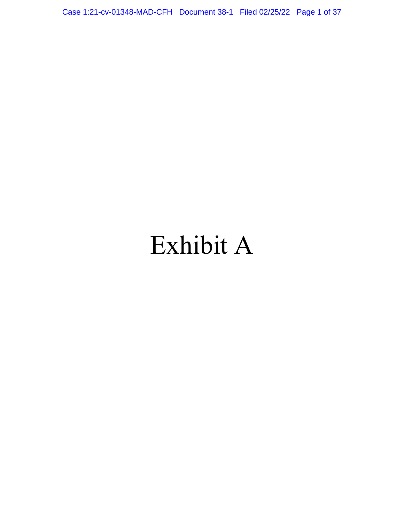Case 1:21-cv-01348-MAD-CFH Document 38-1 Filed 02/25/22 Page 1 of 37

# Exhibit A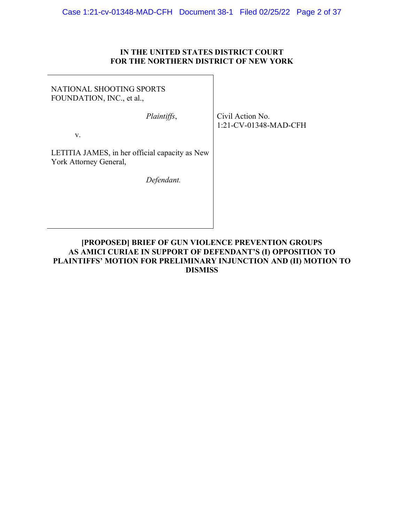# **IN THE UNITED STATES DISTRICT COURT FOR THE NORTHERN DISTRICT OF NEW YORK**

 $\overline{\phantom{a}}$ 

| NATIONAL SHOOTING SPORTS<br>FOUNDATION, INC., et al.,                    |                                           |
|--------------------------------------------------------------------------|-------------------------------------------|
| Plaintiffs,                                                              | Civil Action No.<br>1:21-CV-01348-MAD-CFH |
| V.                                                                       |                                           |
| LETITIA JAMES, in her official capacity as New<br>York Attorney General, |                                           |
| Defendant.                                                               |                                           |
|                                                                          |                                           |

# **[PROPOSED] BRIEF OF GUN VIOLENCE PREVENTION GROUPS AS AMICI CURIAE IN SUPPORT OF DEFENDANT'S (I) OPPOSITION TO PLAINTIFFS' MOTION FOR PRELIMINARY INJUNCTION AND (II) MOTION TO DISMISS**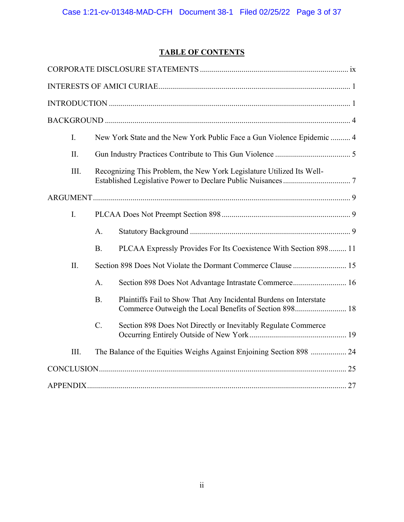# **TABLE OF CONTENTS**

| I.   |                 | New York State and the New York Public Face a Gun Violence Epidemic  4 |  |
|------|-----------------|------------------------------------------------------------------------|--|
| II.  |                 |                                                                        |  |
| III. |                 | Recognizing This Problem, the New York Legislature Utilized Its Well-  |  |
|      |                 |                                                                        |  |
| I.   |                 |                                                                        |  |
|      | $A$ .           |                                                                        |  |
|      | <b>B.</b>       | PLCAA Expressly Provides For Its Coexistence With Section 898 11       |  |
| II.  |                 |                                                                        |  |
|      | A.              | Section 898 Does Not Advantage Intrastate Commerce 16                  |  |
|      | <b>B.</b>       | Plaintiffs Fail to Show That Any Incidental Burdens on Interstate      |  |
|      | $\mathcal{C}$ . | Section 898 Does Not Directly or Inevitably Regulate Commerce          |  |
| III. |                 | The Balance of the Equities Weighs Against Enjoining Section 898  24   |  |
|      |                 |                                                                        |  |
|      |                 |                                                                        |  |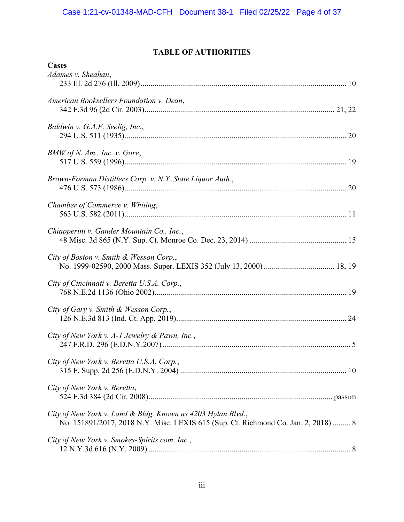# **TABLE OF AUTHORITIES**

| Cases                                                                              |  |
|------------------------------------------------------------------------------------|--|
| Adames v. Sheahan,                                                                 |  |
|                                                                                    |  |
|                                                                                    |  |
| American Booksellers Foundation v. Dean,                                           |  |
|                                                                                    |  |
| Baldwin v. G.A.F. Seelig, Inc.,                                                    |  |
|                                                                                    |  |
|                                                                                    |  |
| BMW of N. Am., Inc. v. Gore,                                                       |  |
|                                                                                    |  |
|                                                                                    |  |
| Brown-Forman Distillers Corp. v. N.Y. State Liquor Auth.,                          |  |
|                                                                                    |  |
|                                                                                    |  |
| Chamber of Commerce v. Whiting,                                                    |  |
|                                                                                    |  |
| Chiapperini v. Gander Mountain Co., Inc.,                                          |  |
|                                                                                    |  |
|                                                                                    |  |
| City of Boston v. Smith & Wesson Corp.,                                            |  |
|                                                                                    |  |
|                                                                                    |  |
| City of Cincinnati v. Beretta U.S.A. Corp.,                                        |  |
|                                                                                    |  |
| City of Gary v. Smith & Wesson Corp.,                                              |  |
|                                                                                    |  |
|                                                                                    |  |
| City of New York v. A-1 Jewelry & Pawn, Inc.,                                      |  |
|                                                                                    |  |
|                                                                                    |  |
| City of New York v. Beretta U.S.A. Corp.,                                          |  |
|                                                                                    |  |
| City of New York v. Beretta,                                                       |  |
|                                                                                    |  |
|                                                                                    |  |
| City of New York v. Land & Bldg. Known as 4203 Hylan Blvd.,                        |  |
| No. 151891/2017, 2018 N.Y. Misc. LEXIS 615 (Sup. Ct. Richmond Co. Jan. 2, 2018)  8 |  |
|                                                                                    |  |
| City of New York v. Smokes-Spirits.com, Inc.,                                      |  |
|                                                                                    |  |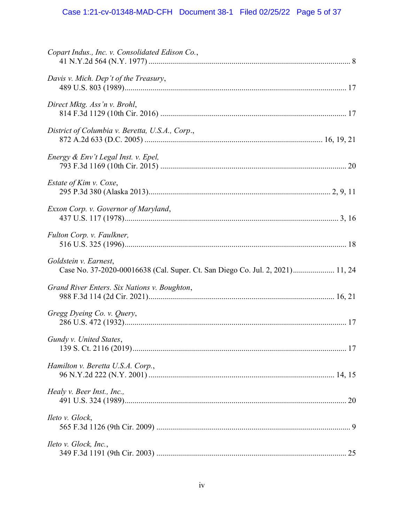# Case 1:21-cv-01348-MAD-CFH Document 38-1 Filed 02/25/22 Page 5 of 37

| Copart Indus., Inc. v. Consolidated Edison Co.,                                                        |  |
|--------------------------------------------------------------------------------------------------------|--|
| Davis v. Mich. Dep't of the Treasury,                                                                  |  |
| Direct Mktg. Ass'n v. Brohl,                                                                           |  |
| District of Columbia v. Beretta, U.S.A., Corp.,                                                        |  |
| Energy & Env't Legal Inst. v. Epel,                                                                    |  |
| Estate of Kim v. Coxe,                                                                                 |  |
| Exxon Corp. v. Governor of Maryland,                                                                   |  |
| Fulton Corp. v. Faulkner,                                                                              |  |
| Goldstein v. Earnest,<br>Case No. 37-2020-00016638 (Cal. Super. Ct. San Diego Co. Jul. 2, 2021) 11, 24 |  |
| Grand River Enters. Six Nations v. Boughton,                                                           |  |
| Gregg Dyeing Co. v. Query,                                                                             |  |
| Gundy v. United States,                                                                                |  |
| Hamilton v. Beretta U.S.A. Corp.,                                                                      |  |
| Healy v. Beer Inst., Inc.,                                                                             |  |
| Ileto v. Glock,                                                                                        |  |
| Ileto v. Glock, Inc.,                                                                                  |  |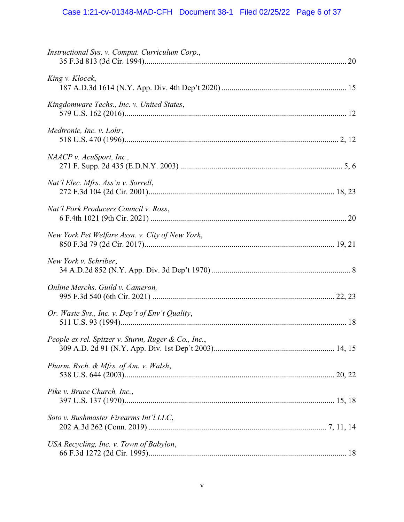# Case 1:21-cv-01348-MAD-CFH Document 38-1 Filed 02/25/22 Page 6 of 37

| Instructional Sys. v. Comput. Curriculum Corp.,     |  |
|-----------------------------------------------------|--|
| King v. Klocek,                                     |  |
| Kingdomware Techs., Inc. v. United States,          |  |
| Medtronic, Inc. v. Lohr,                            |  |
| NAACP v. AcuSport, Inc.,                            |  |
| Nat'l Elec. Mfrs. Ass'n v. Sorrell,                 |  |
| Nat'l Pork Producers Council v. Ross,               |  |
| New York Pet Welfare Assn. v. City of New York,     |  |
| New York v. Schriber,                               |  |
| Online Merchs. Guild v. Cameron,                    |  |
| Or. Waste Sys., Inc. v. Dep't of Env't Quality,     |  |
| People ex rel. Spitzer v. Sturm, Ruger & Co., Inc., |  |
| Pharm. Rsch. & Mfrs. of Am. v. Walsh,               |  |
| Pike v. Bruce Church, Inc.,                         |  |
| Soto v. Bushmaster Firearms Int'l LLC,              |  |
| USA Recycling, Inc. v. Town of Babylon,             |  |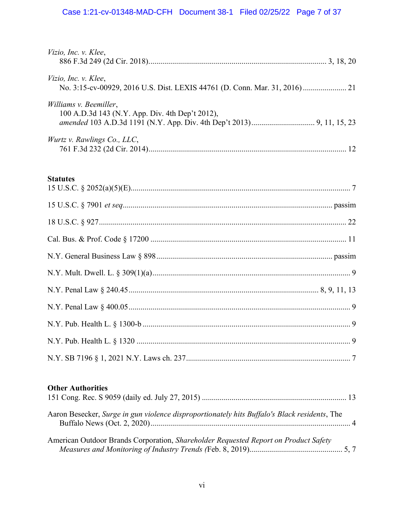# Case 1:21-cv-01348-MAD-CFH Document 38-1 Filed 02/25/22 Page 7 of 37

| Vizio, Inc. v. Klee,                            |  |
|-------------------------------------------------|--|
| Vizio, Inc. v. Klee,                            |  |
|                                                 |  |
| Williams v. Beemiller,                          |  |
| 100 A.D.3d 143 (N.Y. App. Div. 4th Dep't 2012), |  |
|                                                 |  |
| Wurtz v. Rawlings Co., LLC,                     |  |
|                                                 |  |

# **Statutes**

# **Other Authorities**

| Aaron Besecker, Surge in gun violence disproportionately hits Buffalo's Black residents, The |  |
|----------------------------------------------------------------------------------------------|--|
| American Outdoor Brands Corporation, Shareholder Requested Report on Product Safety          |  |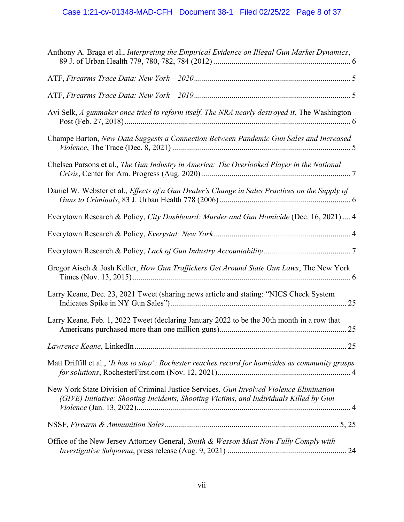| Anthony A. Braga et al., Interpreting the Empirical Evidence on Illegal Gun Market Dynamics,                                                                                      |
|-----------------------------------------------------------------------------------------------------------------------------------------------------------------------------------|
|                                                                                                                                                                                   |
|                                                                                                                                                                                   |
| Avi Selk, A gunmaker once tried to reform itself. The NRA nearly destroyed it, The Washington                                                                                     |
| Champe Barton, New Data Suggests a Connection Between Pandemic Gun Sales and Increased                                                                                            |
| Chelsea Parsons et al., The Gun Industry in America: The Overlooked Player in the National                                                                                        |
| Daniel W. Webster et al., Effects of a Gun Dealer's Change in Sales Practices on the Supply of                                                                                    |
| Everytown Research & Policy, City Dashboard: Murder and Gun Homicide (Dec. 16, 2021) 4                                                                                            |
|                                                                                                                                                                                   |
|                                                                                                                                                                                   |
| Gregor Aisch & Josh Keller, How Gun Traffickers Get Around State Gun Laws, The New York                                                                                           |
| Larry Keane, Dec. 23, 2021 Tweet (sharing news article and stating: "NICS Check System                                                                                            |
| Larry Keane, Feb. 1, 2022 Tweet (declaring January 2022 to be the 30th month in a row that                                                                                        |
|                                                                                                                                                                                   |
| Matt Driffill et al., 'It has to stop': Rochester reaches record for homicides as community grasps                                                                                |
| New York State Division of Criminal Justice Services, Gun Involved Violence Elimination<br>(GIVE) Initiative: Shooting Incidents, Shooting Victims, and Individuals Killed by Gun |
|                                                                                                                                                                                   |
| Office of the New Jersey Attorney General, Smith & Wesson Must Now Fully Comply with<br>24                                                                                        |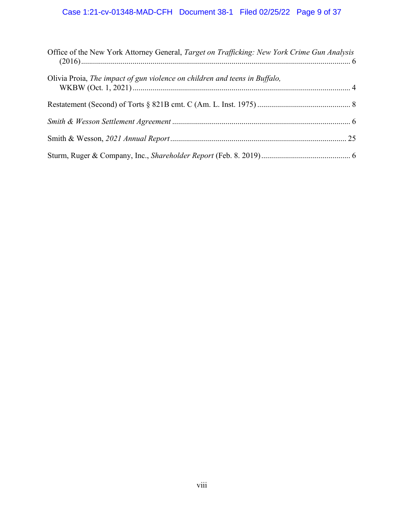# Case 1:21-cv-01348-MAD-CFH Document 38-1 Filed 02/25/22 Page 9 of 37

| Office of the New York Attorney General, Target on Trafficking: New York Crime Gun Analysis |  |
|---------------------------------------------------------------------------------------------|--|
| Olivia Proia, The impact of gun violence on children and teens in Buffalo,                  |  |
|                                                                                             |  |
|                                                                                             |  |
|                                                                                             |  |
|                                                                                             |  |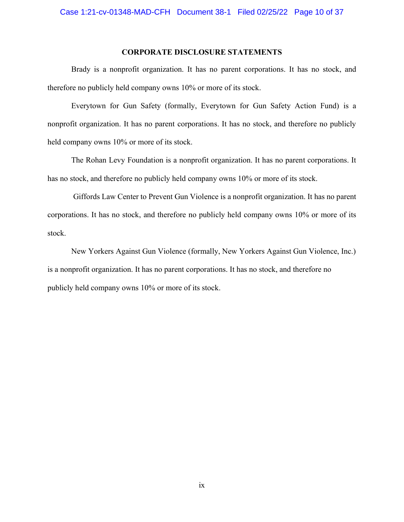#### **CORPORATE DISCLOSURE STATEMENTS**

<span id="page-9-0"></span>Brady is a nonprofit organization. It has no parent corporations. It has no stock, and therefore no publicly held company owns 10% or more of its stock.

Everytown for Gun Safety (formally, Everytown for Gun Safety Action Fund) is a nonprofit organization. It has no parent corporations. It has no stock, and therefore no publicly held company owns 10% or more of its stock.

The Rohan Levy Foundation is a nonprofit organization. It has no parent corporations. It has no stock, and therefore no publicly held company owns 10% or more of its stock.

Giffords Law Center to Prevent Gun Violence is a nonprofit organization. It has no parent corporations. It has no stock, and therefore no publicly held company owns 10% or more of its stock.

New Yorkers Against Gun Violence (formally, New Yorkers Against Gun Violence, Inc.) is a nonprofit organization. It has no parent corporations. It has no stock, and therefore no publicly held company owns 10% or more of its stock.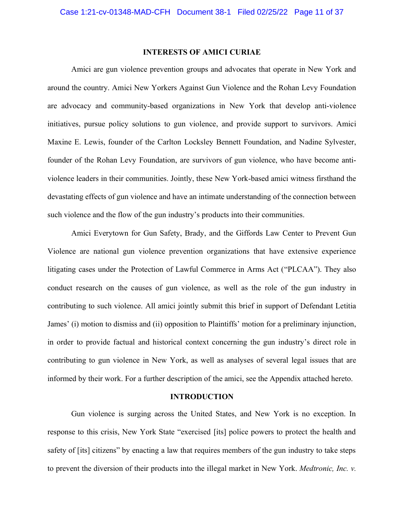#### **INTERESTS OF AMICI CURIAE**

<span id="page-10-0"></span>Amici are gun violence prevention groups and advocates that operate in New York and around the country. Amici New Yorkers Against Gun Violence and the Rohan Levy Foundation are advocacy and community-based organizations in New York that develop anti-violence initiatives, pursue policy solutions to gun violence, and provide support to survivors. Amici Maxine E. Lewis, founder of the Carlton Locksley Bennett Foundation, and Nadine Sylvester, founder of the Rohan Levy Foundation, are survivors of gun violence, who have become antiviolence leaders in their communities. Jointly, these New York-based amici witness firsthand the devastating effects of gun violence and have an intimate understanding of the connection between such violence and the flow of the gun industry's products into their communities.

Amici Everytown for Gun Safety, Brady, and the Giffords Law Center to Prevent Gun Violence are national gun violence prevention organizations that have extensive experience litigating cases under the Protection of Lawful Commerce in Arms Act ("PLCAA"). They also conduct research on the causes of gun violence, as well as the role of the gun industry in contributing to such violence. All amici jointly submit this brief in support of Defendant Letitia James' (i) motion to dismiss and (ii) opposition to Plaintiffs' motion for a preliminary injunction, in order to provide factual and historical context concerning the gun industry's direct role in contributing to gun violence in New York, as well as analyses of several legal issues that are informed by their work. For a further description of the amici, see the Appendix attached hereto.

#### **INTRODUCTION**

<span id="page-10-1"></span>Gun violence is surging across the United States, and New York is no exception. In response to this crisis, New York State "exercised [its] police powers to protect the health and safety of [its] citizens" by enacting a law that requires members of the gun industry to take steps to prevent the diversion of their products into the illegal market in New York. *Medtronic, Inc. v.*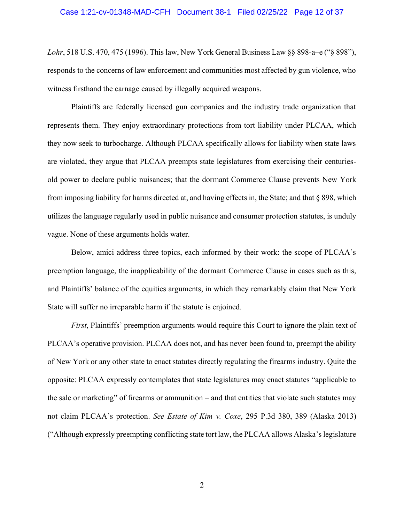#### Case 1:21-cv-01348-MAD-CFH Document 38-1 Filed 02/25/22 Page 12 of 37

*Lohr*, 518 U.S. 470, 475 (1996). This law, New York General Business Law §§ 898-a–e ("§ 898"), responds to the concerns of law enforcement and communities most affected by gun violence, who witness firsthand the carnage caused by illegally acquired weapons.

Plaintiffs are federally licensed gun companies and the industry trade organization that represents them. They enjoy extraordinary protections from tort liability under PLCAA, which they now seek to turbocharge. Although PLCAA specifically allows for liability when state laws are violated, they argue that PLCAA preempts state legislatures from exercising their centuriesold power to declare public nuisances; that the dormant Commerce Clause prevents New York from imposing liability for harms directed at, and having effects in, the State; and that § 898, which utilizes the language regularly used in public nuisance and consumer protection statutes, is unduly vague. None of these arguments holds water.

Below, amici address three topics, each informed by their work: the scope of PLCAA's preemption language, the inapplicability of the dormant Commerce Clause in cases such as this, and Plaintiffs' balance of the equities arguments, in which they remarkably claim that New York State will suffer no irreparable harm if the statute is enjoined.

*First*, Plaintiffs' preemption arguments would require this Court to ignore the plain text of PLCAA's operative provision. PLCAA does not, and has never been found to, preempt the ability of New York or any other state to enact statutes directly regulating the firearms industry. Quite the opposite: PLCAA expressly contemplates that state legislatures may enact statutes "applicable to the sale or marketing" of firearms or ammunition – and that entities that violate such statutes may not claim PLCAA's protection. *See Estate of Kim v. Coxe*, 295 P.3d 380, 389 (Alaska 2013) ("Although expressly preempting conflicting state tort law, the PLCAA allows Alaska's legislature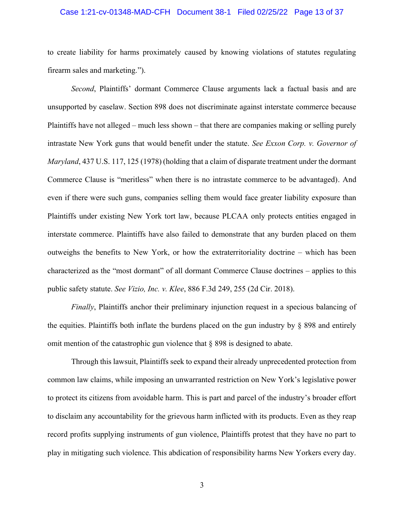#### Case 1:21-cv-01348-MAD-CFH Document 38-1 Filed 02/25/22 Page 13 of 37

to create liability for harms proximately caused by knowing violations of statutes regulating firearm sales and marketing.").

*Second*, Plaintiffs' dormant Commerce Clause arguments lack a factual basis and are unsupported by caselaw. Section 898 does not discriminate against interstate commerce because Plaintiffs have not alleged – much less shown – that there are companies making or selling purely intrastate New York guns that would benefit under the statute. *See Exxon Corp. v. Governor of Maryland*, 437 U.S. 117, 125 (1978) (holding that a claim of disparate treatment under the dormant Commerce Clause is "meritless" when there is no intrastate commerce to be advantaged). And even if there were such guns, companies selling them would face greater liability exposure than Plaintiffs under existing New York tort law, because PLCAA only protects entities engaged in interstate commerce. Plaintiffs have also failed to demonstrate that any burden placed on them outweighs the benefits to New York, or how the extraterritoriality doctrine – which has been characterized as the "most dormant" of all dormant Commerce Clause doctrines – applies to this public safety statute. *See Vizio, Inc. v. Klee*, 886 F.3d 249, 255 (2d Cir. 2018).

*Finally*, Plaintiffs anchor their preliminary injunction request in a specious balancing of the equities. Plaintiffs both inflate the burdens placed on the gun industry by § 898 and entirely omit mention of the catastrophic gun violence that § 898 is designed to abate.

Through this lawsuit, Plaintiffs seek to expand their already unprecedented protection from common law claims, while imposing an unwarranted restriction on New York's legislative power to protect its citizens from avoidable harm. This is part and parcel of the industry's broader effort to disclaim any accountability for the grievous harm inflicted with its products. Even as they reap record profits supplying instruments of gun violence, Plaintiffs protest that they have no part to play in mitigating such violence. This abdication of responsibility harms New Yorkers every day.

3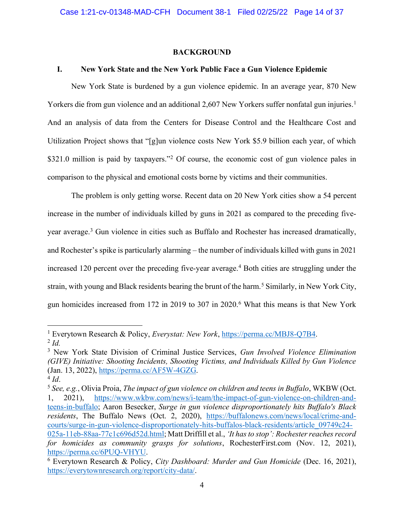#### **BACKGROUND**

## <span id="page-13-1"></span><span id="page-13-0"></span>**I. New York State and the New York Public Face a Gun Violence Epidemic**

New York State is burdened by a gun violence epidemic. In an average year, 870 New Yorkers die from gun violence and an additional 2,607 New Yorkers suffer nonfatal gun injuries. 1 And an analysis of data from the Centers for Disease Control and the Healthcare Cost and Utilization Project shows that "[g]un violence costs New York \$5.9 billion each year, of which \$321.0 million is paid by taxpayers."<sup>2</sup> Of course, the economic cost of gun violence pales in comparison to the physical and emotional costs borne by victims and their communities.

The problem is only getting worse. Recent data on 20 New York cities show a 54 percent increase in the number of individuals killed by guns in 2021 as compared to the preceding fiveyear average.<sup>3</sup> Gun violence in cities such as Buffalo and Rochester has increased dramatically, and Rochester's spike is particularly alarming – the number of individuals killed with guns in 2021 increased 120 percent over the preceding five-year average.<sup>4</sup> Both cities are struggling under the strain, with young and Black residents bearing the brunt of the harm.<sup>5</sup> Similarly, in New York City, gun homicides increased from 172 in 2019 to 307 in 2020.<sup>6</sup> What this means is that New York

<sup>1</sup> Everytown Research & Policy, *Everystat: New York*, [https://perma.cc/MBJ8-Q7B4.](https://perma.cc/MBJ8-Q7B4) 2 *Id.*

<sup>3</sup> New York State Division of Criminal Justice Services, *Gun Involved Violence Elimination (GIVE) Initiative: Shooting Incidents, Shooting Victims, and Individuals Killed by Gun Violence* (Jan. 13, 2022), [https://perma.cc/AF5W-4GZG.](https://perma.cc/AF5W-4GZG)

<sup>4</sup> *Id*.

<sup>5</sup> *See, e.g.*, Olivia Proia, *The impact of gun violence on children and teens in Buffalo*, WKBW (Oct. 1, 2021), [https://www.wkbw.com/news/i-team/the-impact-of-gun-violence-on-children-and](https://www.wkbw.com/news/i-team/the-impact-of-gun-violence-on-children-and-teens-in-buffalo)[teens-in-buffalo;](https://www.wkbw.com/news/i-team/the-impact-of-gun-violence-on-children-and-teens-in-buffalo) Aaron Besecker, *Surge in gun violence disproportionately hits Buffalo's Black residents*, The Buffalo News (Oct. 2, 2020), [https://buffalonews.com/news/local/crime-and](https://buffalonews.com/news/local/crime-and-courts/surge-in-gun-violence-disproportionately-hits-buffalos-black-residents/article_09749c24-025a-11eb-88aa-77c1c696d52d.html)[courts/surge-in-gun-violence-disproportionately-hits-buffalos-black-residents/article\\_09749c24-](https://buffalonews.com/news/local/crime-and-courts/surge-in-gun-violence-disproportionately-hits-buffalos-black-residents/article_09749c24-025a-11eb-88aa-77c1c696d52d.html) [025a-11eb-88aa-77c1c696d52d.html;](https://buffalonews.com/news/local/crime-and-courts/surge-in-gun-violence-disproportionately-hits-buffalos-black-residents/article_09749c24-025a-11eb-88aa-77c1c696d52d.html) Matt Driffill et al., *'It has to stop': Rochester reaches record* 

*for homicides as community grasps for solutions*, RochesterFirst.com (Nov. 12, 2021), [https://perma.cc/6PUQ-VHYU.](https://perma.cc/6PUQ-VHYU)

<sup>6</sup> Everytown Research & Policy, *City Dashboard: Murder and Gun Homicide* (Dec. 16, 2021), [https://everytownresearch.org/report/city-data/.](https://everytownresearch.org/report/city-data/)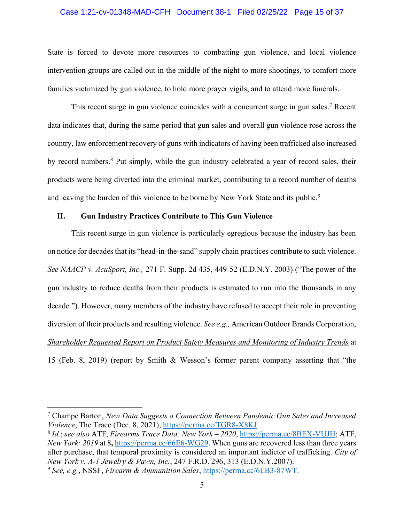#### Case 1:21-cv-01348-MAD-CFH Document 38-1 Filed 02/25/22 Page 15 of 37

State is forced to devote more resources to combatting gun violence, and local violence intervention groups are called out in the middle of the night to more shootings, to comfort more families victimized by gun violence, to hold more prayer vigils, and to attend more funerals.

This recent surge in gun violence coincides with a concurrent surge in gun sales.<sup>7</sup> Recent data indicates that, during the same period that gun sales and overall gun violence rose across the country, law enforcement recovery of guns with indicators of having been trafficked also increased by record numbers.<sup>8</sup> Put simply, while the gun industry celebrated a year of record sales, their products were being diverted into the criminal market, contributing to a record number of deaths and leaving the burden of this violence to be borne by New York State and its public.<sup>9</sup>

## <span id="page-14-0"></span>**II. Gun Industry Practices Contribute to This Gun Violence**

This recent surge in gun violence is particularly egregious because the industry has been on notice for decades that its "head-in-the-sand" supply chain practices contribute to such violence. *See NAACP v. AcuSport, Inc.,* 271 F. Supp. 2d 435, 449-52 (E.D.N.Y. 2003) ("The power of the gun industry to reduce deaths from their products is estimated to run into the thousands in any decade."). However, many members of the industry have refused to accept their role in preventing diversion of their products and resulting violence. *See e.g.,* American Outdoor Brands Corporation, *Shareholder Requested Report on Product Safety Measures and Monitoring of Industry Trends* at 15 (Feb. 8, 2019) (report by Smith & Wesson's former parent company asserting that "the

<sup>7</sup> Champe Barton, *New Data Suggests a Connection Between Pandemic Gun Sales and Increased Violence*, The Trace (Dec. 8, 2021), [https://perma.cc/TGR8-X8KJ.](https://perma.cc/TGR8-X8KJ)

<sup>8</sup> *Id.*; *see also* ATF, *Firearms Trace Data: New York – 2020*, [https://perma.cc/8BEX-VUJH;](https://perma.cc/8BEX-VUJH) ATF, *New York: 2019* at 8**,** <https://perma.cc/66E6-WG29>**.** When guns are recovered less than three years after purchase, that temporal proximity is considered an important indictor of trafficking. *City of New York v. A-1 Jewelry & Pawn, Inc.*, 247 F.R.D. 296, 313 (E.D.N.Y.2007).

<sup>9</sup> *See, e.g.*, NSSF, *Firearm & Ammunition Sales*, [https://perma.cc/6LB3-87WT.](https://perma.cc/6LB3-87WT)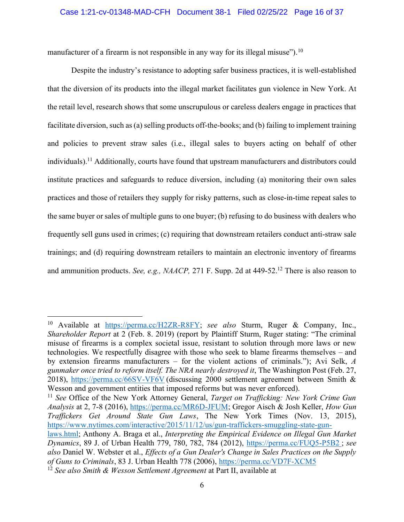manufacturer of a firearm is not responsible in any way for its illegal misuse").<sup>10</sup>

Despite the industry's resistance to adopting safer business practices, it is well-established that the diversion of its products into the illegal market facilitates gun violence in New York. At the retail level, research shows that some unscrupulous or careless dealers engage in practices that facilitate diversion, such as (a) selling products off-the-books; and (b) failing to implement training and policies to prevent straw sales (i.e., illegal sales to buyers acting on behalf of other individuals). <sup>11</sup> Additionally, courts have found that upstream manufacturers and distributors could institute practices and safeguards to reduce diversion, including (a) monitoring their own sales practices and those of retailers they supply for risky patterns, such as close-in-time repeat sales to the same buyer or sales of multiple guns to one buyer; (b) refusing to do business with dealers who frequently sell guns used in crimes; (c) requiring that downstream retailers conduct anti-straw sale trainings; and (d) requiring downstream retailers to maintain an electronic inventory of firearms and ammunition products. *See, e.g., NAACP,* 271 F. Supp. 2d at 449-52. <sup>12</sup> There is also reason to

<sup>10</sup> Available at [https://perma.cc/H2ZR-R8FY;](https://perma.cc/H2ZR-R8FY) *see also* Sturm, Ruger & Company, Inc., *Shareholder Report* at 2 (Feb. 8. 2019) (report by Plaintiff Sturm, Ruger stating: "The criminal misuse of firearms is a complex societal issue, resistant to solution through more laws or new technologies. We respectfully disagree with those who seek to blame firearms themselves – and by extension firearms manufacturers – for the violent actions of criminals."); Avi Selk, *A*  gunmaker once tried to reform itself. The NRA nearly destroved it, The Washington Post (Feb. 27, 2018), <https://perma.cc/66SV-VF6V> (discussing 2000 settlement agreement between Smith & Wesson and government entities that imposed reforms but was never enforced).

<sup>11</sup> *See* Office of the New York Attorney General, *Target on Trafficking: New York Crime Gun Analysis* at 2, 7-8 (2016), [https://perma.cc/MR6D-JFUM;](https://perma.cc/MR6D-JFUM) Gregor Aisch & Josh Keller, *How Gun Traffickers Get Around State Gun Laws*, The New York Times (Nov. 13, 2015), [https://www.nytimes.com/interactive/2015/11/12/us/gun-traffickers-smuggling-state-gun-](https://www.nytimes.com/interactive/2015/11/12/us/gun-traffickers-smuggling-state-gun-laws.html)

[laws.html;](https://www.nytimes.com/interactive/2015/11/12/us/gun-traffickers-smuggling-state-gun-laws.html) Anthony A. Braga et al., *Interpreting the Empirical Evidence on Illegal Gun Market Dynamics*, 89 J. of Urban Health 779, 780, 782, 784 (2012),<https://perma.cc/FUQ5-P5B2> ; *see also* Daniel W. Webster et al., *Effects of a Gun Dealer's Change in Sales Practices on the Supply of Guns to Criminals*, 83 J. Urban Health 778 (2006),<https://perma.cc/VD7F-XCM5>

<sup>12</sup> *See also Smith & Wesson Settlement Agreement* at Part II, available at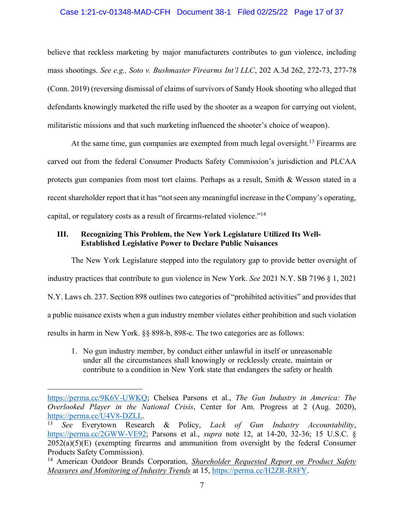#### Case 1:21-cv-01348-MAD-CFH Document 38-1 Filed 02/25/22 Page 17 of 37

believe that reckless marketing by major manufacturers contributes to gun violence, including mass shootings. *See e.g., Soto v. Bushmaster Firearms Int'l LLC*, 202 A.3d 262, 272-73, 277-78 (Conn. 2019) (reversing dismissal of claims of survivors of Sandy Hook shooting who alleged that defendants knowingly marketed the rifle used by the shooter as a weapon for carrying out violent, militaristic missions and that such marketing influenced the shooter's choice of weapon).

At the same time, gun companies are exempted from much legal oversight.<sup>13</sup> Firearms are carved out from the federal Consumer Products Safety Commission's jurisdiction and PLCAA protects gun companies from most tort claims. Perhaps as a result, Smith & Wesson stated in a recent shareholder report that it has "not seen any meaningful increase in the Company's operating, capital, or regulatory costs as a result of firearms-related violence."<sup>14</sup>

# <span id="page-16-0"></span>**III. Recognizing This Problem, the New York Legislature Utilized Its Well-Established Legislative Power to Declare Public Nuisances**

The New York Legislature stepped into the regulatory gap to provide better oversight of industry practices that contribute to gun violence in New York. *See* 2021 N.Y. SB 7196 § 1, 2021 N.Y. Laws ch. 237. Section 898 outlines two categories of "prohibited activities" and provides that a public nuisance exists when a gun industry member violates either prohibition and such violation results in harm in New York. §§ 898-b, 898-c. The two categories are as follows:

1. No gun industry member, by conduct either unlawful in itself or unreasonable under all the circumstances shall knowingly or recklessly create, maintain or contribute to a condition in New York state that endangers the safety or health

[https://perma.cc/9K6V-UWKQ;](https://perma.cc/9K6V-UWKQ) Chelsea Parsons et al., *The Gun Industry in America: The Overlooked Player in the National Crisis*, Center for Am. Progress at 2 (Aug. 2020), [https://perma.cc/U4V8-DZLL.](https://perma.cc/U4V8-DZLL)

<sup>13</sup> *See* Everytown Research & Policy, *Lack of Gun Industry Accountability*, [https://perma.cc/2GWW-VE92;](https://perma.cc/2GWW-VE92) Parsons et al., *supra* note 12, at 14-20, 32-36; 15 U.S.C. §  $2052(a)(5)(E)$  (exempting firearms and ammunition from oversight by the federal Consumer Products Safety Commission).

<sup>14</sup> American Outdoor Brands Corporation, *Shareholder Requested Report on Product Safety Measures and Monitoring of Industry Trends* at 15, [https://perma.cc/H2ZR-R8FY.](https://perma.cc/H2ZR-R8FY)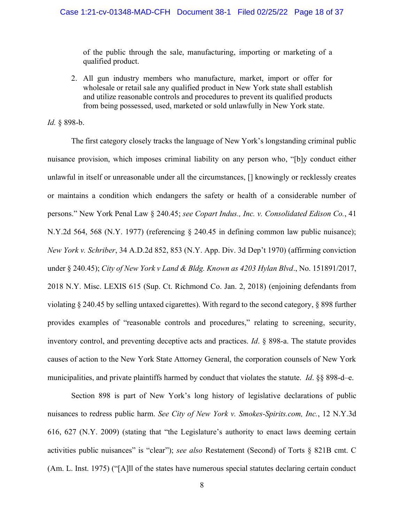of the public through the sale, manufacturing, importing or marketing of a qualified product.

2. All gun industry members who manufacture, market, import or offer for wholesale or retail sale any qualified product in New York state shall establish and utilize reasonable controls and procedures to prevent its qualified products from being possessed, used, marketed or sold unlawfully in New York state.

*Id.* § 898-b.

The first category closely tracks the language of New York's longstanding criminal public nuisance provision, which imposes criminal liability on any person who, "[b]y conduct either unlawful in itself or unreasonable under all the circumstances, [] knowingly or recklessly creates or maintains a condition which endangers the safety or health of a considerable number of persons." New York Penal Law § 240.45; *see Copart Indus., Inc. v. Consolidated Edison Co.*, 41 N.Y.2d 564, 568 (N.Y. 1977) (referencing § 240.45 in defining common law public nuisance); *New York v. Schriber*, 34 A.D.2d 852, 853 (N.Y. App. Div. 3d Dep't 1970) (affirming conviction under § 240.45); *City of New York v Land & Bldg. Known as 4203 Hylan Blvd*., No. 151891/2017, 2018 N.Y. Misc. LEXIS 615 (Sup. Ct. Richmond Co. Jan. 2, 2018) (enjoining defendants from violating § 240.45 by selling untaxed cigarettes). With regard to the second category, § 898 further provides examples of "reasonable controls and procedures," relating to screening, security, inventory control, and preventing deceptive acts and practices. *Id*. § 898-a. The statute provides causes of action to the New York State Attorney General, the corporation counsels of New York municipalities, and private plaintiffs harmed by conduct that violates the statute. *Id*. §§ 898-d–e.

Section 898 is part of New York's long history of legislative declarations of public nuisances to redress public harm. *See City of New York v. Smokes-Spirits.com, Inc.*, 12 N.Y.3d 616, 627 (N.Y. 2009) (stating that "the Legislature's authority to enact laws deeming certain activities public nuisances" is "clear"); *see also* Restatement (Second) of Torts § 821B cmt. C (Am. L. Inst. 1975) ("[A]ll of the states have numerous special statutes declaring certain conduct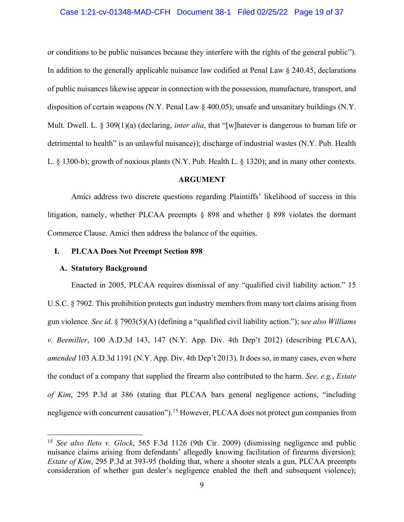#### Case 1:21-cv-01348-MAD-CFH Document 38-1 Filed 02/25/22 Page 19 of 37

or conditions to be public nuisances because they interfere with the rights of the general public"). In addition to the generally applicable nuisance law codified at Penal Law § 240.45, declarations of public nuisances likewise appear in connection with the possession, manufacture, transport, and disposition of certain weapons (N.Y. Penal Law § 400.05); unsafe and unsanitary buildings (N.Y. Mult. Dwell. L. § 309(1)(a) (declaring, *inter alia*, that "[w]hatever is dangerous to human life or detrimental to health" is an unlawful nuisance)); discharge of industrial wastes (N.Y. Pub. Health L. § 1300-b); growth of noxious plants (N.Y. Pub. Health L. § 1320); and in many other contexts.

#### **ARGUMENT**

<span id="page-18-0"></span>Amici address two discrete questions regarding Plaintiffs' likelihood of success in this litigation, namely, whether PLCAA preempts § 898 and whether § 898 violates the dormant Commerce Clause. Amici then address the balance of the equities.

#### <span id="page-18-1"></span>**I. PLCAA Does Not Preempt Section 898**

#### <span id="page-18-2"></span>**A. Statutory Background**

Enacted in 2005, PLCAA requires dismissal of any "qualified civil liability action." 15 U.S.C. § 7902. This prohibition protects gun industry members from many tort claims arising from gun violence. *See id*. § 7903(5)(A) (defining a "qualified civil liability action."); s*ee also Williams v. Beemiller*, 100 A.D.3d 143, 147 (N.Y. App. Div. 4th Dep't 2012) (describing PLCAA), *amended* 103 A.D.3d 1191 (N.Y. App. Div. 4th Dep't 2013). It does so, in many cases, even where the conduct of a company that supplied the firearm also contributed to the harm. *See, e.g.*, *Estate of Kim*, 295 P.3d at 386 (stating that PLCAA bars general negligence actions, "including negligence with concurrent causation").<sup>15</sup> However, PLCAA does not protect gun companies from

<sup>15</sup> *See also Ileto v. Glock*, 565 F.3d 1126 (9th Cir. 2009) (dismissing negligence and public nuisance claims arising from defendants' allegedly knowing facilitation of firearms diversion); *Estate of Kim*, 295 P.3d at 393-95 (holding that, where a shooter steals a gun, PLCAA preempts consideration of whether gun dealer's negligence enabled the theft and subsequent violence);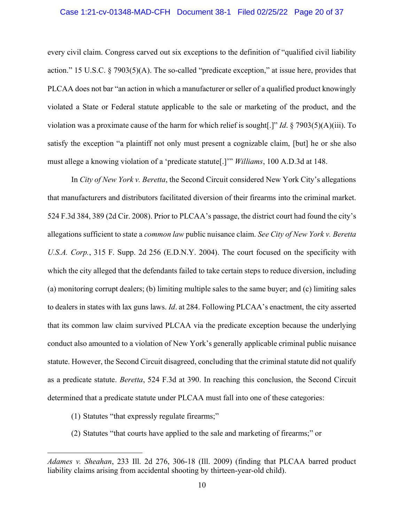#### Case 1:21-cv-01348-MAD-CFH Document 38-1 Filed 02/25/22 Page 20 of 37

every civil claim. Congress carved out six exceptions to the definition of "qualified civil liability action." 15 U.S.C. § 7903(5)(A). The so-called "predicate exception," at issue here, provides that PLCAA does not bar "an action in which a manufacturer or seller of a qualified product knowingly violated a State or Federal statute applicable to the sale or marketing of the product, and the violation was a proximate cause of the harm for which relief is sought[.]" *Id*. § 7903(5)(A)(iii). To satisfy the exception "a plaintiff not only must present a cognizable claim, [but] he or she also must allege a knowing violation of a 'predicate statute[.]'" *Williams*, 100 A.D.3d at 148.

In *City of New York v. Beretta*, the Second Circuit considered New York City's allegations that manufacturers and distributors facilitated diversion of their firearms into the criminal market. 524 F.3d 384, 389 (2d Cir. 2008). Prior to PLCAA's passage, the district court had found the city's allegations sufficient to state a *common law* public nuisance claim. *See City of New York v. Beretta U.S.A. Corp.*, 315 F. Supp. 2d 256 (E.D.N.Y. 2004). The court focused on the specificity with which the city alleged that the defendants failed to take certain steps to reduce diversion, including (a) monitoring corrupt dealers; (b) limiting multiple sales to the same buyer; and (c) limiting sales to dealers in states with lax guns laws. *Id*. at 284. Following PLCAA's enactment, the city asserted that its common law claim survived PLCAA via the predicate exception because the underlying conduct also amounted to a violation of New York's generally applicable criminal public nuisance statute. However, the Second Circuit disagreed, concluding that the criminal statute did not qualify as a predicate statute. *Beretta*, 524 F.3d at 390. In reaching this conclusion, the Second Circuit determined that a predicate statute under PLCAA must fall into one of these categories:

- (1) Statutes "that expressly regulate firearms;"
- (2) Statutes "that courts have applied to the sale and marketing of firearms;" or

*Adames v. Sheahan*, 233 Ill. 2d 276, 306-18 (Ill. 2009) (finding that PLCAA barred product liability claims arising from accidental shooting by thirteen-year-old child).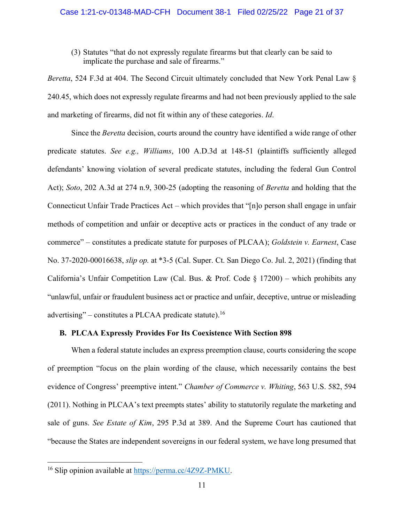(3) Statutes "that do not expressly regulate firearms but that clearly can be said to implicate the purchase and sale of firearms."

*Beretta*, 524 F.3d at 404. The Second Circuit ultimately concluded that New York Penal Law § 240.45, which does not expressly regulate firearms and had not been previously applied to the sale and marketing of firearms, did not fit within any of these categories. *Id*.

Since the *Beretta* decision, courts around the country have identified a wide range of other predicate statutes. *See e.g., Williams*, 100 A.D.3d at 148-51 (plaintiffs sufficiently alleged defendants' knowing violation of several predicate statutes, including the federal Gun Control Act); *Soto*, 202 A.3d at 274 n.9, 300-25 (adopting the reasoning of *Beretta* and holding that the Connecticut Unfair Trade Practices Act – which provides that "[n]o person shall engage in unfair methods of competition and unfair or deceptive acts or practices in the conduct of any trade or commerce" – constitutes a predicate statute for purposes of PLCAA); *Goldstein v. Earnest*, Case No. 37-2020-00016638, *slip op.* at \*3-5 (Cal. Super. Ct. San Diego Co. Jul. 2, 2021) (finding that California's Unfair Competition Law (Cal. Bus. & Prof. Code  $\S 17200$ ) – which prohibits any "unlawful, unfair or fraudulent business act or practice and unfair, deceptive, untrue or misleading advertising" – constitutes a PLCAA predicate statute).<sup>16</sup>

## <span id="page-20-0"></span>**B. PLCAA Expressly Provides For Its Coexistence With Section 898**

When a federal statute includes an express preemption clause, courts considering the scope of preemption "focus on the plain wording of the clause, which necessarily contains the best evidence of Congress' preemptive intent." *Chamber of Commerce v. Whiting*, 563 U.S. 582, 594 (2011). Nothing in PLCAA's text preempts states' ability to statutorily regulate the marketing and sale of guns. *See Estate of Kim*, 295 P.3d at 389. And the Supreme Court has cautioned that "because the States are independent sovereigns in our federal system, we have long presumed that

<sup>&</sup>lt;sup>16</sup> Slip opinion available at [https://perma.cc/4Z9Z-PMKU.](https://perma.cc/4Z9Z-PMKU)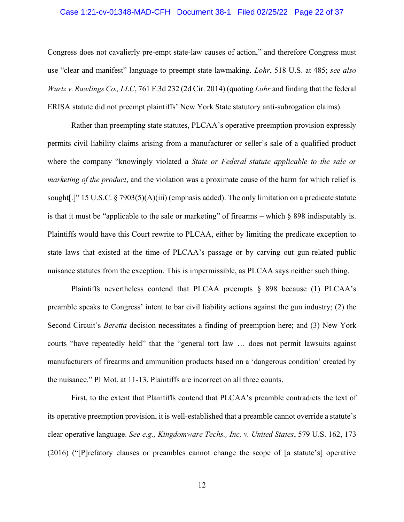#### Case 1:21-cv-01348-MAD-CFH Document 38-1 Filed 02/25/22 Page 22 of 37

Congress does not cavalierly pre-empt state-law causes of action," and therefore Congress must use "clear and manifest" language to preempt state lawmaking. *Lohr*, 518 U.S. at 485; *see also Wurtz v. Rawlings Co., LLC*, 761 F.3d 232 (2d Cir. 2014) (quoting *Lohr* and finding that the federal ERISA statute did not preempt plaintiffs' New York State statutory anti-subrogation claims).

Rather than preempting state statutes, PLCAA's operative preemption provision expressly permits civil liability claims arising from a manufacturer or seller's sale of a qualified product where the company "knowingly violated a *State or Federal statute applicable to the sale or marketing of the product*, and the violation was a proximate cause of the harm for which relief is sought[.]" 15 U.S.C. § 7903(5)(A)(iii) (emphasis added). The only limitation on a predicate statute is that it must be "applicable to the sale or marketing" of firearms – which § 898 indisputably is. Plaintiffs would have this Court rewrite to PLCAA, either by limiting the predicate exception to state laws that existed at the time of PLCAA's passage or by carving out gun-related public nuisance statutes from the exception. This is impermissible, as PLCAA says neither such thing.

Plaintiffs nevertheless contend that PLCAA preempts § 898 because (1) PLCAA's preamble speaks to Congress' intent to bar civil liability actions against the gun industry; (2) the Second Circuit's *Beretta* decision necessitates a finding of preemption here; and (3) New York courts "have repeatedly held" that the "general tort law … does not permit lawsuits against manufacturers of firearms and ammunition products based on a 'dangerous condition' created by the nuisance." PI Mot. at 11-13. Plaintiffs are incorrect on all three counts.

First, to the extent that Plaintiffs contend that PLCAA's preamble contradicts the text of its operative preemption provision, it is well-established that a preamble cannot override a statute's clear operative language. *See e.g., Kingdomware Techs., Inc. v. United States*, 579 U.S. 162, 173 (2016) ("[P]refatory clauses or preambles cannot change the scope of [a statute's] operative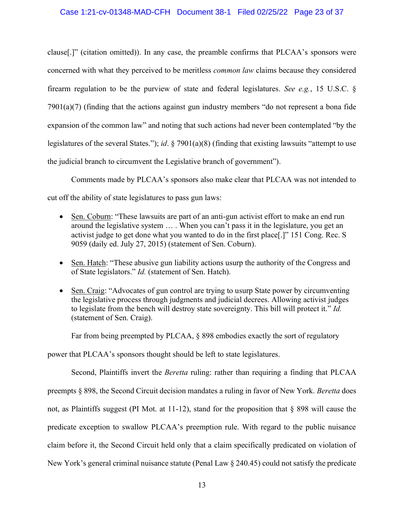#### Case 1:21-cv-01348-MAD-CFH Document 38-1 Filed 02/25/22 Page 23 of 37

clause[.]" (citation omitted)). In any case, the preamble confirms that PLCAA's sponsors were concerned with what they perceived to be meritless *common law* claims because they considered firearm regulation to be the purview of state and federal legislatures. *See e.g.*, 15 U.S.C. § 7901(a)(7) (finding that the actions against gun industry members "do not represent a bona fide expansion of the common law" and noting that such actions had never been contemplated "by the legislatures of the several States."); *id*. § 7901(a)(8) (finding that existing lawsuits "attempt to use the judicial branch to circumvent the Legislative branch of government").

Comments made by PLCAA's sponsors also make clear that PLCAA was not intended to cut off the ability of state legislatures to pass gun laws:

- Sen. Coburn: "These lawsuits are part of an anti-gun activist effort to make an end run around the legislative system … . When you can't pass it in the legislature, you get an activist judge to get done what you wanted to do in the first place[.]" 151 Cong. Rec. S 9059 (daily ed. July 27, 2015) (statement of Sen. Coburn).
- Sen. Hatch: "These abusive gun liability actions usurp the authority of the Congress and of State legislators." *Id.* (statement of Sen. Hatch).
- Sen. Craig: "Advocates of gun control are trying to usurp State power by circumventing the legislative process through judgments and judicial decrees. Allowing activist judges to legislate from the bench will destroy state sovereignty. This bill will protect it." *Id.* (statement of Sen. Craig).

Far from being preempted by PLCAA, § 898 embodies exactly the sort of regulatory

power that PLCAA's sponsors thought should be left to state legislatures.

Second, Plaintiffs invert the *Beretta* ruling: rather than requiring a finding that PLCAA preempts § 898, the Second Circuit decision mandates a ruling in favor of New York. *Beretta* does not, as Plaintiffs suggest (PI Mot. at 11-12), stand for the proposition that § 898 will cause the predicate exception to swallow PLCAA's preemption rule. With regard to the public nuisance claim before it, the Second Circuit held only that a claim specifically predicated on violation of New York's general criminal nuisance statute (Penal Law § 240.45) could not satisfy the predicate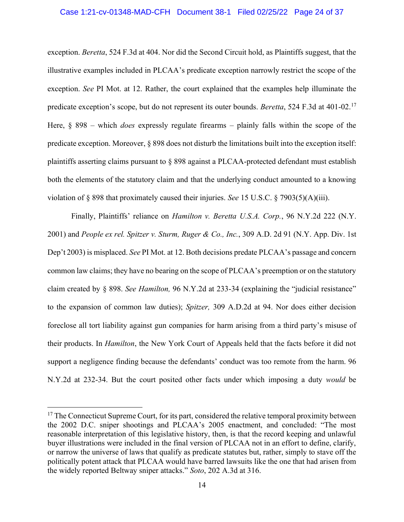#### Case 1:21-cv-01348-MAD-CFH Document 38-1 Filed 02/25/22 Page 24 of 37

exception. *Beretta*, 524 F.3d at 404. Nor did the Second Circuit hold, as Plaintiffs suggest, that the illustrative examples included in PLCAA's predicate exception narrowly restrict the scope of the exception. *See* PI Mot. at 12. Rather, the court explained that the examples help illuminate the predicate exception's scope, but do not represent its outer bounds. *Beretta*, 524 F.3d at 401-02.<sup>17</sup> Here, § 898 – which *does* expressly regulate firearms – plainly falls within the scope of the predicate exception. Moreover, § 898 does not disturb the limitations built into the exception itself: plaintiffs asserting claims pursuant to § 898 against a PLCAA-protected defendant must establish both the elements of the statutory claim and that the underlying conduct amounted to a knowing violation of § 898 that proximately caused their injuries. *See* 15 U.S.C. § 7903(5)(A)(iii).

Finally, Plaintiffs' reliance on *Hamilton v. Beretta U.S.A. Corp.*, 96 N.Y.2d 222 (N.Y. 2001) and *People ex rel. Spitzer v. Sturm, Ruger & Co., Inc.*, 309 A.D. 2d 91 (N.Y. App. Div. 1st Dep't 2003) is misplaced. *See* PI Mot. at 12. Both decisions predate PLCAA's passage and concern common law claims; they have no bearing on the scope of PLCAA's preemption or on the statutory claim created by § 898. *See Hamilton,* 96 N.Y.2d at 233-34 (explaining the "judicial resistance" to the expansion of common law duties); *Spitzer,* 309 A.D.2d at 94. Nor does either decision foreclose all tort liability against gun companies for harm arising from a third party's misuse of their products. In *Hamilton*, the New York Court of Appeals held that the facts before it did not support a negligence finding because the defendants' conduct was too remote from the harm. 96 N.Y.2d at 232-34. But the court posited other facts under which imposing a duty *would* be

<sup>&</sup>lt;sup>17</sup> The Connecticut Supreme Court, for its part, considered the relative temporal proximity between the 2002 D.C. sniper shootings and PLCAA's 2005 enactment, and concluded: "The most reasonable interpretation of this legislative history, then, is that the record keeping and unlawful buyer illustrations were included in the final version of PLCAA not in an effort to define, clarify, or narrow the universe of laws that qualify as predicate statutes but, rather, simply to stave off the politically potent attack that PLCAA would have barred lawsuits like the one that had arisen from the widely reported Beltway sniper attacks." *Soto*, 202 A.3d at 316.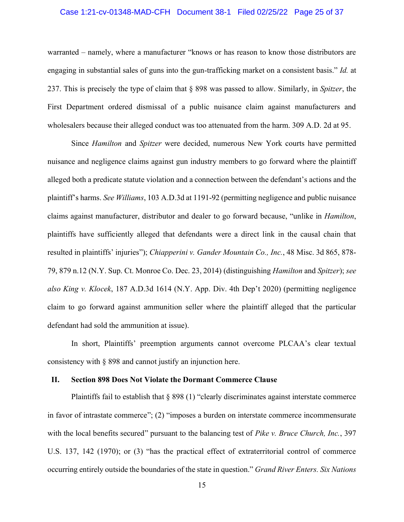#### Case 1:21-cv-01348-MAD-CFH Document 38-1 Filed 02/25/22 Page 25 of 37

warranted – namely, where a manufacturer "knows or has reason to know those distributors are engaging in substantial sales of guns into the gun-trafficking market on a consistent basis." *Id.* at 237. This is precisely the type of claim that § 898 was passed to allow. Similarly, in *Spitzer*, the First Department ordered dismissal of a public nuisance claim against manufacturers and wholesalers because their alleged conduct was too attenuated from the harm. 309 A.D. 2d at 95.

Since *Hamilton* and *Spitzer* were decided, numerous New York courts have permitted nuisance and negligence claims against gun industry members to go forward where the plaintiff alleged both a predicate statute violation and a connection between the defendant's actions and the plaintiff's harms. *See Williams*, 103 A.D.3d at 1191-92 (permitting negligence and public nuisance claims against manufacturer, distributor and dealer to go forward because, "unlike in *Hamilton*, plaintiffs have sufficiently alleged that defendants were a direct link in the causal chain that resulted in plaintiffs' injuries"); *Chiapperini v. Gander Mountain Co., Inc.*, 48 Misc. 3d 865, 878- 79, 879 n.12 (N.Y. Sup. Ct. Monroe Co. Dec. 23, 2014) (distinguishing *Hamilton* and *Spitzer*); *see also King v. Klocek*, 187 A.D.3d 1614 (N.Y. App. Div. 4th Dep't 2020) (permitting negligence claim to go forward against ammunition seller where the plaintiff alleged that the particular defendant had sold the ammunition at issue).

In short, Plaintiffs' preemption arguments cannot overcome PLCAA's clear textual consistency with § 898 and cannot justify an injunction here.

#### <span id="page-24-0"></span>**II. Section 898 Does Not Violate the Dormant Commerce Clause**

Plaintiffs fail to establish that § 898 (1) "clearly discriminates against interstate commerce in favor of intrastate commerce"; (2) "imposes a burden on interstate commerce incommensurate with the local benefits secured" pursuant to the balancing test of *Pike v. Bruce Church, Inc.*, 397 U.S. 137, 142 (1970); or (3) "has the practical effect of extraterritorial control of commerce occurring entirely outside the boundaries of the state in question." *Grand River Enters. Six Nations*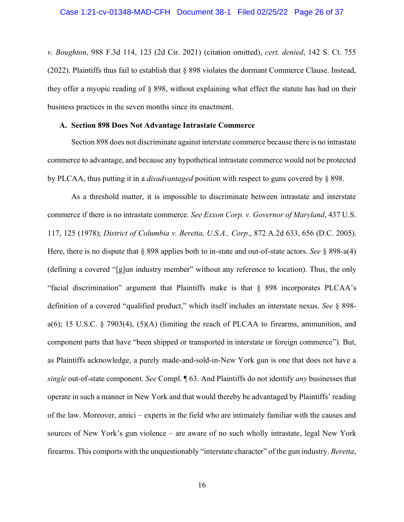*v. Boughton*, 988 F.3d 114, 123 (2d Cir. 2021) (citation omitted), *cert. denied*, 142 S. Ct. 755 (2022). Plaintiffs thus fail to establish that § 898 violates the dormant Commerce Clause. Instead, they offer a myopic reading of § 898, without explaining what effect the statute has had on their business practices in the seven months since its enactment.

#### <span id="page-25-0"></span>**A. Section 898 Does Not Advantage Intrastate Commerce**

Section 898 does not discriminate against interstate commerce because there is no intrastate commerce to advantage, and because any hypothetical intrastate commerce would not be protected by PLCAA, thus putting it in a *disadvantaged* position with respect to guns covered by § 898.

As a threshold matter, it is impossible to discriminate between intrastate and interstate commerce if there is no intrastate commerce. *See Exxon Corp. v. Governor of Maryland*, 437 U.S. 117, 125 (1978); *District of Columbia v. Beretta, U.S.A., Corp*., 872 A.2d 633, 656 (D.C. 2005). Here, there is no dispute that § 898 applies both to in-state and out-of-state actors. *See* § 898-a(4) (defining a covered "[g]un industry member" without any reference to location). Thus, the only "facial discrimination" argument that Plaintiffs make is that § 898 incorporates PLCAA's definition of a covered "qualified product," which itself includes an interstate nexus. *See* § 898 a(6); 15 U.S.C. § 7903(4),  $(5)(A)$  (limiting the reach of PLCAA to firearms, ammunition, and component parts that have "been shipped or transported in interstate or foreign commerce"). But, as Plaintiffs acknowledge, a purely made-and-sold-in-New York gun is one that does not have a *single* out-of-state component. *See* Compl. ¶ 63. And Plaintiffs do not identify *any* businesses that operate in such a manner in New York and that would thereby be advantaged by Plaintiffs' reading of the law. Moreover, amici – experts in the field who are intimately familiar with the causes and sources of New York's gun violence – are aware of no such wholly intrastate, legal New York firearms. This comports with the unquestionably "interstate character" of the gun industry. *Beretta*,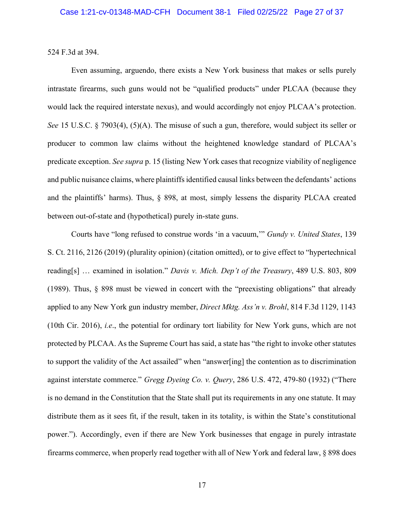524 F.3d at 394.

Even assuming, arguendo, there exists a New York business that makes or sells purely intrastate firearms, such guns would not be "qualified products" under PLCAA (because they would lack the required interstate nexus), and would accordingly not enjoy PLCAA's protection. *See* 15 U.S.C. § 7903(4), (5)(A). The misuse of such a gun, therefore, would subject its seller or producer to common law claims without the heightened knowledge standard of PLCAA's predicate exception. *See supra* p. 15 (listing New York cases that recognize viability of negligence and public nuisance claims, where plaintiffsidentified causal links between the defendants' actions and the plaintiffs' harms). Thus, § 898, at most, simply lessens the disparity PLCAA created between out-of-state and (hypothetical) purely in-state guns.

Courts have "long refused to construe words 'in a vacuum,'" *Gundy v. United States*, 139 S. Ct. 2116, 2126 (2019) (plurality opinion) (citation omitted), or to give effect to "hypertechnical reading[s] … examined in isolation." *Davis v. Mich. Dep't of the Treasury*, 489 U.S. 803, 809 (1989). Thus, § 898 must be viewed in concert with the "preexisting obligations" that already applied to any New York gun industry member, *Direct Mktg. Ass'n v. Brohl*, 814 F.3d 1129, 1143 (10th Cir. 2016), *i.e*., the potential for ordinary tort liability for New York guns, which are not protected by PLCAA. As the Supreme Court has said, a state has "the right to invoke other statutes to support the validity of the Act assailed" when "answer[ing] the contention as to discrimination against interstate commerce." *Gregg Dyeing Co. v. Query*, 286 U.S. 472, 479-80 (1932) ("There is no demand in the Constitution that the State shall put its requirements in any one statute. It may distribute them as it sees fit, if the result, taken in its totality, is within the State's constitutional power."). Accordingly, even if there are New York businesses that engage in purely intrastate firearms commerce, when properly read together with all of New York and federal law, § 898 does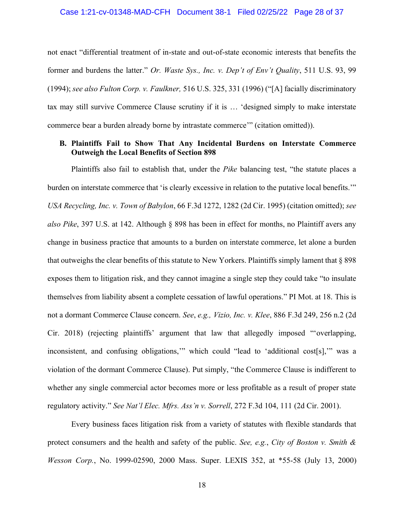not enact "differential treatment of in-state and out-of-state economic interests that benefits the former and burdens the latter." *Or. Waste Sys., Inc. v. Dep't of Env't Quality*, 511 U.S. 93, 99 (1994); *see also Fulton Corp. v. Faulkner,* 516 U.S. 325, 331 (1996) ("[A] facially discriminatory tax may still survive Commerce Clause scrutiny if it is … 'designed simply to make interstate commerce bear a burden already borne by intrastate commerce'" (citation omitted)).

## <span id="page-27-0"></span>**B. Plaintiffs Fail to Show That Any Incidental Burdens on Interstate Commerce Outweigh the Local Benefits of Section 898**

Plaintiffs also fail to establish that, under the *Pike* balancing test, "the statute places a burden on interstate commerce that 'is clearly excessive in relation to the putative local benefits.'" *USA Recycling, Inc. v. Town of Babylon*, 66 F.3d 1272, 1282 (2d Cir. 1995) (citation omitted); *see also Pike*, 397 U.S. at 142. Although § 898 has been in effect for months, no Plaintiff avers any change in business practice that amounts to a burden on interstate commerce, let alone a burden that outweighs the clear benefits of this statute to New Yorkers. Plaintiffs simply lament that § 898 exposes them to litigation risk, and they cannot imagine a single step they could take "to insulate themselves from liability absent a complete cessation of lawful operations." PI Mot. at 18. This is not a dormant Commerce Clause concern. *See*, *e.g., Vizio, Inc. v. Klee*, 886 F.3d 249, 256 n.2 (2d Cir. 2018) (rejecting plaintiffs' argument that law that allegedly imposed "'overlapping, inconsistent, and confusing obligations,'" which could "lead to 'additional cost[s],'" was a violation of the dormant Commerce Clause). Put simply, "the Commerce Clause is indifferent to whether any single commercial actor becomes more or less profitable as a result of proper state regulatory activity." *See Nat'l Elec. Mfrs. Ass'n v. Sorrell*, 272 F.3d 104, 111 (2d Cir. 2001).

Every business faces litigation risk from a variety of statutes with flexible standards that protect consumers and the health and safety of the public. *See, e.g.*, *City of Boston v. Smith & Wesson Corp.*, No. 1999-02590, 2000 Mass. Super. LEXIS 352, at \*55-58 (July 13, 2000)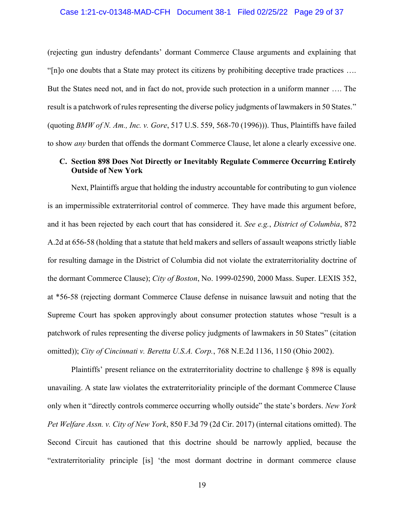#### Case 1:21-cv-01348-MAD-CFH Document 38-1 Filed 02/25/22 Page 29 of 37

(rejecting gun industry defendants' dormant Commerce Clause arguments and explaining that "[n]o one doubts that a State may protect its citizens by prohibiting deceptive trade practices …. But the States need not, and in fact do not, provide such protection in a uniform manner …. The result is a patchwork of rules representing the diverse policy judgments of lawmakers in 50 States." (quoting *BMW of N. Am., Inc. v. Gore*, 517 U.S. 559, 568-70 (1996))). Thus, Plaintiffs have failed to show *any* burden that offends the dormant Commerce Clause, let alone a clearly excessive one.

# <span id="page-28-0"></span>**C. Section 898 Does Not Directly or Inevitably Regulate Commerce Occurring Entirely Outside of New York**

Next, Plaintiffs argue that holding the industry accountable for contributing to gun violence is an impermissible extraterritorial control of commerce. They have made this argument before, and it has been rejected by each court that has considered it. *See e.g.*, *District of Columbia*, 872 A.2d at 656-58 (holding that a statute that held makers and sellers of assault weapons strictly liable for resulting damage in the District of Columbia did not violate the extraterritoriality doctrine of the dormant Commerce Clause); *City of Boston*, No. 1999-02590, 2000 Mass. Super. LEXIS 352, at \*56-58 (rejecting dormant Commerce Clause defense in nuisance lawsuit and noting that the Supreme Court has spoken approvingly about consumer protection statutes whose "result is a patchwork of rules representing the diverse policy judgments of lawmakers in 50 States" (citation omitted)); *City of Cincinnati v. Beretta U.S.A. Corp.*, 768 N.E.2d 1136, 1150 (Ohio 2002).

Plaintiffs' present reliance on the extraterritoriality doctrine to challenge § 898 is equally unavailing. A state law violates the extraterritoriality principle of the dormant Commerce Clause only when it "directly controls commerce occurring wholly outside" the state's borders. *New York Pet Welfare Assn. v. City of New York*, 850 F.3d 79 (2d Cir. 2017) (internal citations omitted). The Second Circuit has cautioned that this doctrine should be narrowly applied, because the "extraterritoriality principle [is] 'the most dormant doctrine in dormant commerce clause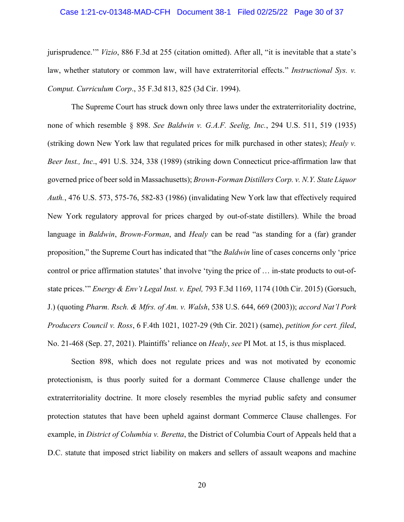#### Case 1:21-cv-01348-MAD-CFH Document 38-1 Filed 02/25/22 Page 30 of 37

jurisprudence.'" *Vizio*, 886 F.3d at 255 (citation omitted). After all, "it is inevitable that a state's law, whether statutory or common law, will have extraterritorial effects." *Instructional Sys. v. Comput. Curriculum Corp*., 35 F.3d 813, 825 (3d Cir. 1994).

The Supreme Court has struck down only three laws under the extraterritoriality doctrine, none of which resemble § 898. *See Baldwin v. G.A.F. Seelig, Inc.*, 294 U.S. 511, 519 (1935) (striking down New York law that regulated prices for milk purchased in other states); *Healy v. Beer Inst., Inc*., 491 U.S. 324, 338 (1989) (striking down Connecticut price-affirmation law that governed price of beer sold in Massachusetts); *Brown-Forman Distillers Corp. v. N.Y. State Liquor Auth.*, 476 U.S. 573, 575-76, 582-83 (1986) (invalidating New York law that effectively required New York regulatory approval for prices charged by out-of-state distillers). While the broad language in *Baldwin*, *Brown-Forman*, and *Healy* can be read "as standing for a (far) grander proposition," the Supreme Court has indicated that "the *Baldwin* line of cases concerns only 'price control or price affirmation statutes' that involve 'tying the price of … in-state products to out-ofstate prices.'" *Energy & Env't Legal Inst. v. Epel,* 793 F.3d 1169, 1174 (10th Cir. 2015) (Gorsuch, J.) (quoting *Pharm. Rsch. & Mfrs. of Am. v. Walsh*, 538 U.S. 644, 669 (2003)); *accord Nat'l Pork Producers Council v. Ross*, 6 F.4th 1021, 1027-29 (9th Cir. 2021) (same), *petition for cert. filed*, No. 21-468 (Sep. 27, 2021). Plaintiffs' reliance on *Healy*, *see* PI Mot. at 15, is thus misplaced.

Section 898, which does not regulate prices and was not motivated by economic protectionism, is thus poorly suited for a dormant Commerce Clause challenge under the extraterritoriality doctrine. It more closely resembles the myriad public safety and consumer protection statutes that have been upheld against dormant Commerce Clause challenges. For example, in *District of Columbia v. Beretta*, the District of Columbia Court of Appeals held that a D.C. statute that imposed strict liability on makers and sellers of assault weapons and machine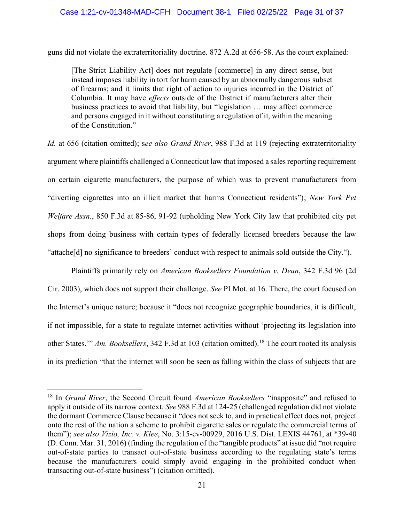#### Case 1:21-cv-01348-MAD-CFH Document 38-1 Filed 02/25/22 Page 31 of 37

guns did not violate the extraterritoriality doctrine. 872 A.2d at 656-58. As the court explained:

[The Strict Liability Act] does not regulate [commerce] in any direct sense, but instead imposes liability in tort for harm caused by an abnormally dangerous subset of firearms; and it limits that right of action to injuries incurred in the District of Columbia. It may have *effects* outside of the District if manufacturers alter their business practices to avoid that liability, but "legislation … may affect commerce and persons engaged in it without constituting a regulation of it, within the meaning of the Constitution."

*Id.* at 656 (citation omitted); s*ee also Grand River*, 988 F.3d at 119 (rejecting extraterritoriality argument where plaintiffs challenged a Connecticut law that imposed a sales reporting requirement on certain cigarette manufacturers, the purpose of which was to prevent manufacturers from "diverting cigarettes into an illicit market that harms Connecticut residents"); *New York Pet Welfare Assn.*, 850 F.3d at 85-86, 91-92 (upholding New York City law that prohibited city pet shops from doing business with certain types of federally licensed breeders because the law "attache[d] no significance to breeders' conduct with respect to animals sold outside the City.").

Plaintiffs primarily rely on *American Booksellers Foundation v. Dean*, 342 F.3d 96 (2d Cir. 2003), which does not support their challenge. *See* PI Mot. at 16. There, the court focused on the Internet's unique nature; because it "does not recognize geographic boundaries, it is difficult, if not impossible, for a state to regulate internet activities without 'projecting its legislation into other States.'" *Am. Booksellers*, 342 F.3d at 103 (citation omitted). <sup>18</sup> The court rooted its analysis in its prediction "that the internet will soon be seen as falling within the class of subjects that are

<sup>18</sup> In *Grand River*, the Second Circuit found *American Booksellers* "inapposite" and refused to apply it outside of its narrow context. *See* 988 F.3d at 124-25 (challenged regulation did not violate the dormant Commerce Clause because it "does not seek to, and in practical effect does not, project onto the rest of the nation a scheme to prohibit cigarette sales or regulate the commercial terms of them"); *see also Vizio, Inc. v. Klee*, No. 3:15-cv-00929, 2016 U.S. Dist. LEXIS 44761, at \*39-40 (D. Conn. Mar. 31, 2016) (finding the regulation of the "tangible products" at issue did "not require out-of-state parties to transact out-of-state business according to the regulating state's terms because the manufacturers could simply avoid engaging in the prohibited conduct when transacting out-of-state business") (citation omitted).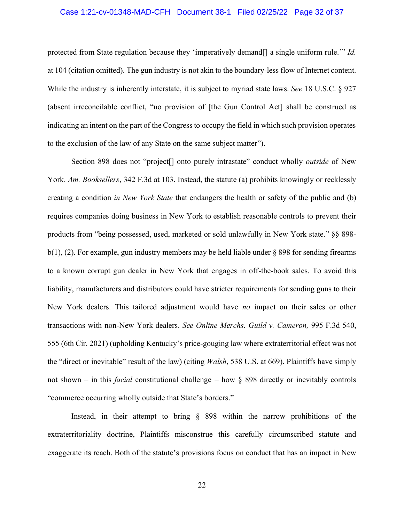#### Case 1:21-cv-01348-MAD-CFH Document 38-1 Filed 02/25/22 Page 32 of 37

protected from State regulation because they 'imperatively demand<sup>[]</sup> a single uniform rule.'" *Id.* at 104 (citation omitted). The gun industry is not akin to the boundary-less flow of Internet content. While the industry is inherently interstate, it is subject to myriad state laws. *See* 18 U.S.C. § 927 (absent irreconcilable conflict, "no provision of [the Gun Control Act] shall be construed as indicating an intent on the part of the Congress to occupy the field in which such provision operates to the exclusion of the law of any State on the same subject matter").

Section 898 does not "project[] onto purely intrastate" conduct wholly *outside* of New York. *Am. Booksellers*, 342 F.3d at 103. Instead, the statute (a) prohibits knowingly or recklessly creating a condition *in New York State* that endangers the health or safety of the public and (b) requires companies doing business in New York to establish reasonable controls to prevent their products from "being possessed, used, marketed or sold unlawfully in New York state." §§ 898 b(1), (2). For example, gun industry members may be held liable under § 898 for sending firearms to a known corrupt gun dealer in New York that engages in off-the-book sales. To avoid this liability, manufacturers and distributors could have stricter requirements for sending guns to their New York dealers. This tailored adjustment would have *no* impact on their sales or other transactions with non-New York dealers. *See Online Merchs. Guild v. Cameron,* 995 F.3d 540, 555 (6th Cir. 2021) (upholding Kentucky's price-gouging law where extraterritorial effect was not the "direct or inevitable" result of the law) (citing *Walsh*, 538 U.S. at 669). Plaintiffs have simply not shown – in this *facial* constitutional challenge – how § 898 directly or inevitably controls "commerce occurring wholly outside that State's borders."

Instead, in their attempt to bring § 898 within the narrow prohibitions of the extraterritoriality doctrine, Plaintiffs misconstrue this carefully circumscribed statute and exaggerate its reach. Both of the statute's provisions focus on conduct that has an impact in New

22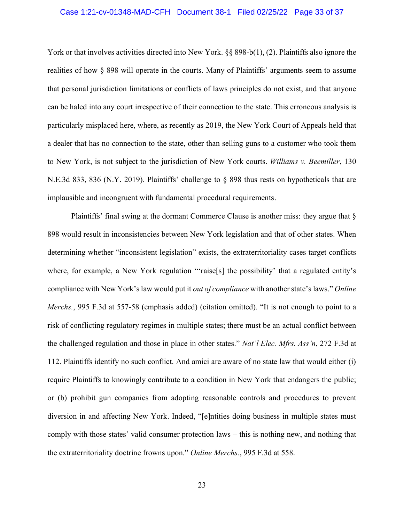#### Case 1:21-cv-01348-MAD-CFH Document 38-1 Filed 02/25/22 Page 33 of 37

York or that involves activities directed into New York. §§ 898-b(1), (2). Plaintiffs also ignore the realities of how § 898 will operate in the courts. Many of Plaintiffs' arguments seem to assume that personal jurisdiction limitations or conflicts of laws principles do not exist, and that anyone can be haled into any court irrespective of their connection to the state. This erroneous analysis is particularly misplaced here, where, as recently as 2019, the New York Court of Appeals held that a dealer that has no connection to the state, other than selling guns to a customer who took them to New York, is not subject to the jurisdiction of New York courts. *Williams v. Beemiller*, 130 N.E.3d 833, 836 (N.Y. 2019). Plaintiffs' challenge to § 898 thus rests on hypotheticals that are implausible and incongruent with fundamental procedural requirements.

Plaintiffs' final swing at the dormant Commerce Clause is another miss: they argue that § 898 would result in inconsistencies between New York legislation and that of other states. When determining whether "inconsistent legislation" exists, the extraterritoriality cases target conflicts where, for example, a New York regulation "'raise[s] the possibility' that a regulated entity's compliance with New York's law would put it *out of compliance* with another state's laws." *Online Merchs.*, 995 F.3d at 557-58 (emphasis added) (citation omitted). "It is not enough to point to a risk of conflicting regulatory regimes in multiple states; there must be an actual conflict between the challenged regulation and those in place in other states." *Nat'l Elec. Mfrs. Ass'n*, 272 F.3d at 112. Plaintiffs identify no such conflict. And amici are aware of no state law that would either (i) require Plaintiffs to knowingly contribute to a condition in New York that endangers the public; or (b) prohibit gun companies from adopting reasonable controls and procedures to prevent diversion in and affecting New York. Indeed, "[e]ntities doing business in multiple states must comply with those states' valid consumer protection laws – this is nothing new, and nothing that the extraterritoriality doctrine frowns upon." *Online Merchs.*, 995 F.3d at 558.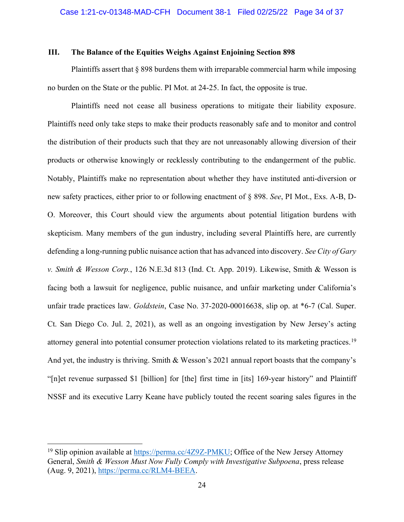#### <span id="page-33-0"></span>**III. The Balance of the Equities Weighs Against Enjoining Section 898**

Plaintiffs assert that § 898 burdens them with irreparable commercial harm while imposing no burden on the State or the public. PI Mot. at 24-25. In fact, the opposite is true.

Plaintiffs need not cease all business operations to mitigate their liability exposure. Plaintiffs need only take steps to make their products reasonably safe and to monitor and control the distribution of their products such that they are not unreasonably allowing diversion of their products or otherwise knowingly or recklessly contributing to the endangerment of the public. Notably, Plaintiffs make no representation about whether they have instituted anti-diversion or new safety practices, either prior to or following enactment of § 898. *See*, PI Mot., Exs. A-B, D-O. Moreover, this Court should view the arguments about potential litigation burdens with skepticism. Many members of the gun industry, including several Plaintiffs here, are currently defending a long-running public nuisance action that has advanced into discovery. *See City of Gary v. Smith & Wesson Corp.*, 126 N.E.3d 813 (Ind. Ct. App. 2019). Likewise, Smith & Wesson is facing both a lawsuit for negligence, public nuisance, and unfair marketing under California's unfair trade practices law. *Goldstein*, Case No. 37-2020-00016638, slip op. at \*6-7 (Cal. Super. Ct. San Diego Co. Jul. 2, 2021), as well as an ongoing investigation by New Jersey's acting attorney general into potential consumer protection violations related to its marketing practices.<sup>19</sup> And yet, the industry is thriving. Smith & Wesson's 2021 annual report boasts that the company's "[n]et revenue surpassed \$1 [billion] for [the] first time in [its] 169-year history" and Plaintiff NSSF and its executive Larry Keane have publicly touted the recent soaring sales figures in the

<sup>&</sup>lt;sup>19</sup> Slip opinion available at [https://perma.cc/4Z9Z-PMKU;](https://perma.cc/4Z9Z-PMKU) Office of the New Jersey Attorney General, *Smith & Wesson Must Now Fully Comply with Investigative Subpoena*, press release (Aug. 9, 2021), [https://perma.cc/RLM4-BEEA.](https://perma.cc/RLM4-BEEA)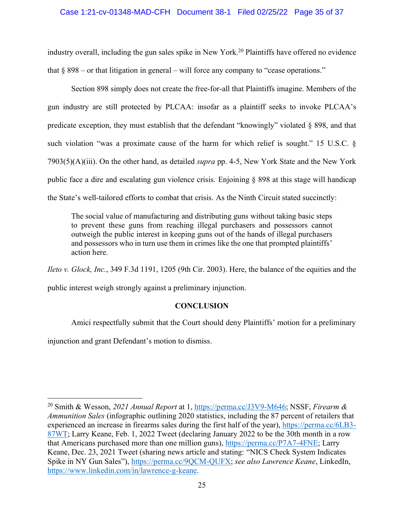#### Case 1:21-cv-01348-MAD-CFH Document 38-1 Filed 02/25/22 Page 35 of 37

industry overall, including the gun sales spike in New York.<sup>20</sup> Plaintiffs have offered no evidence that  $\S 898 -$  or that litigation in general – will force any company to "cease operations."

Section 898 simply does not create the free-for-all that Plaintiffs imagine. Members of the gun industry are still protected by PLCAA: insofar as a plaintiff seeks to invoke PLCAA's predicate exception, they must establish that the defendant "knowingly" violated § 898, and that such violation "was a proximate cause of the harm for which relief is sought." 15 U.S.C. § 7903(5)(A)(iii). On the other hand, as detailed *supra* pp. 4-5, New York State and the New York public face a dire and escalating gun violence crisis. Enjoining § 898 at this stage will handicap the State's well-tailored efforts to combat that crisis. As the Ninth Circuit stated succinctly:

The social value of manufacturing and distributing guns without taking basic steps to prevent these guns from reaching illegal purchasers and possessors cannot outweigh the public interest in keeping guns out of the hands of illegal purchasers and possessors who in turn use them in crimes like the one that prompted plaintiffs' action here.

*Ileto v. Glock, Inc.*, 349 F.3d 1191, 1205 (9th Cir. 2003). Here, the balance of the equities and the

<span id="page-34-0"></span>public interest weigh strongly against a preliminary injunction.

# **CONCLUSION**

Amici respectfully submit that the Court should deny Plaintiffs' motion for a preliminary

injunction and grant Defendant's motion to dismiss.

<sup>20</sup> Smith & Wesson, *2021 Annual Report* at 1, [https://perma.cc/J3V9-M646;](https://perma.cc/J3V9-M646) NSSF, *Firearm & Ammunition Sales* (infographic outlining 2020 statistics, including the 87 percent of retailers that experienced an increase in firearms sales during the first half of the year), [https://perma.cc/6LB3-](https://perma.cc/6LB3-87WT) [87WT;](https://perma.cc/6LB3-87WT) Larry Keane, Feb. 1, 2022 Tweet (declaring January 2022 to be the 30th month in a row that Americans purchased more than one million guns), [https://perma.cc/P7A7-4FNE;](https://perma.cc/P7A7-4FNE) Larry Keane, Dec. 23, 2021 Tweet (sharing news article and stating: "NICS Check System Indicates Spike in NY Gun Sales"), [https://perma.cc/9QCM-QUFX;](https://perma.cc/9QCM-QUFX) *see also Lawrence Keane*, LinkedIn, [https://www.linkedin.com/in/lawrence-g-keane.](https://www.linkedin.com/in/lawrence-g-keane)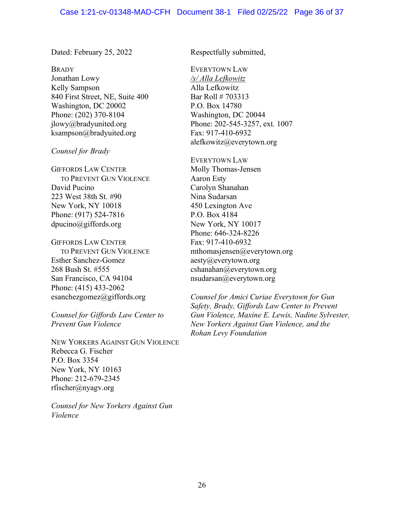Dated: February 25, 2022 Respectfully submitted,

**BRADY** Jonathan Lowy Kelly Sampson 840 First Street, NE, Suite 400 Washington, DC 20002 Phone: (202) 370-8104 jlowy@bradyunited.org ksampson@bradyuited.org

*Counsel for Brady*

GIFFORDS LAW CENTER TO PREVENT GUN VIOLENCE David Pucino 223 West 38th St. #90 New York, NY 10018 Phone: (917) 524-7816 dpucino@giffords.org

GIFFORDS LAW CENTER TO PREVENT GUN VIOLENCE Esther Sanchez-Gomez 268 Bush St. #555 San Francisco, CA 94104 Phone: (415) 433-2062 esanchezgomez@giffords.org

*Counsel for Giffords Law Center to Prevent Gun Violence*

NEW YORKERS AGAINST GUN VIOLENCE Rebecca G. Fischer P.O. Box 3354 New York, NY 10163 Phone: 212-679-2345 rfischer@nyagv.org

*Counsel for New Yorkers Against Gun Violence*

EVERYTOWN LAW */s/ Alla Lefkowitz*  Alla Lefkowitz Bar Roll # 703313 P.O. Box 14780 Washington, DC 20044 Phone: 202-545-3257, ext. 1007 Fax: 917-410-6932 alefkowitz@everytown.org

EVERYTOWN LAW Molly Thomas-Jensen Aaron Esty Carolyn Shanahan Nina Sudarsan 450 Lexington Ave P.O. Box 4184 New York, NY 10017 Phone: 646-324-8226 Fax: 917-410-6932 mthomasjensen@everytown.org aesty@everytown.org cshanahan@everytown.org nsudarsan@everytown.org

*Counsel for Amici Curiae Everytown for Gun Safety, Brady, Giffords Law Center to Prevent Gun Violence, Maxine E. Lewis, Nadine Sylvester, New Yorkers Against Gun Violence, and the Rohan Levy Foundation*